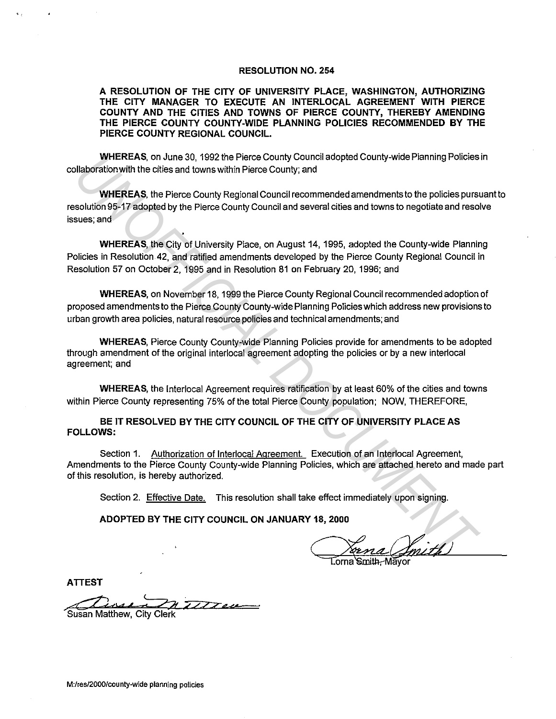## **RESOLUTION NO. 254**

**A RESOLUTION OF THE CITY OF UNIVERSITY PLACE, WASHINGTON, AUTHORIZING THE CITY MANAGER TO EXECUTE AN INTERLOCAL AGREEMENT WITH PIERCE COUNTY AND THE CITIES AND TOWNS OF PIERCE COUNTY, THEREBY AMENDING THE PIERCE COUNTY COUNTY-WIDE PLANNING POLICIES RECOMMENDED BY THE PIERCE COUNTY REGIONAL COUNCIL.** 

**WHEREAS,** on June 30, 1992 the Pierce County Council adopted County-wide Planning Policies in collaboration with the cities and towns within Pierce County; and

**WHEREAS,** the Pierce County Regional Council recommended amendments to the policies pursuant to resolution 95-17 adopted by the Pierce County Council and several cities and towns to negotiate and resolve issues; and WHEREAS, on June 30, 1992 the Preroc County Council atopted County-wide Pranaming Policies<br>
Unlaboration with the critics and towns within Pierce County, and<br>
WHEREAS, the Pierce County Regional Council recommended amendme

**WHEREAS,** the City of University Place, on August 14, 1995, adopted the County-wide Planning Policies in Resolution42, and ratified amendments developed by the Pierce County Regional Council in Resolution 57 on October 2, 1995 and in Resolution 81 on February 20, 1996; and

**WHEREAS,** on November 18, 1999 the Pierce County Regional Council recommended adoption of proposed amendments to the Pierce County County-wide Planning Policies which address new provisions to urban growth area policies, natural resource policies and technical amendments; and

**WHEREAS,** Pierce County County-wide Planning Policies provide for amendments to be adopted through amendment of the original interlocal agreement adopting the policies or by a new interlocal agreement; and

**WHEREAS,** the lnterlocal Agreement requires ratification by at least 60% of the cities and towns within Pierce County representing 75% of the total Pierce County population; NOW, THEREFORE,

**BE IT RESOLVED BY THE CITY COUNCIL OF THE CITY OF UNIVERSITY PLACE AS FOLLOWS:** 

Section 1. Authorization of lnterlocal Agreement. Execution of an lnterlocal Agreement, Amendments to the Pierce County County-wide Planning Policies, which are attached hereto and made part of this resolution, is hereby authorized.

Section 2. Effective Date. This resolution shall take effect immediately upon signing.

**ADOPTED BY THE CITY COUNCIL ON JANUARY 18, 2000** 

**ATTEST** 

Susan Matthew, City Clerk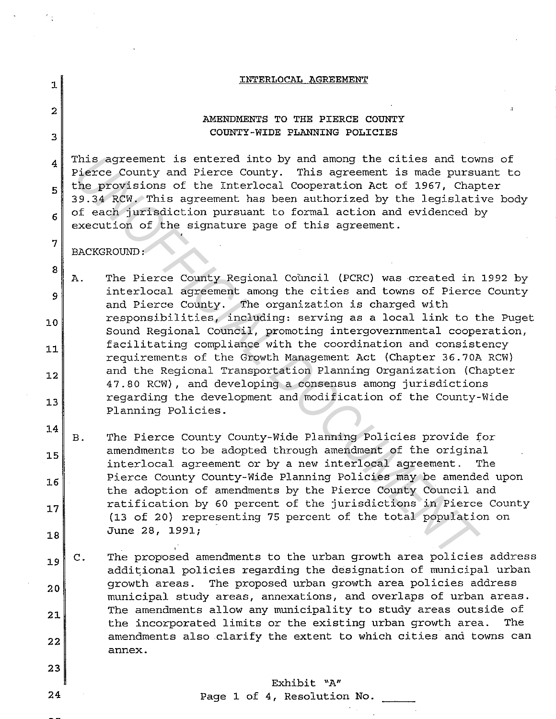|                | INTERLOCAL AGREEMENT                                                     |
|----------------|--------------------------------------------------------------------------|
| 1              |                                                                          |
|                |                                                                          |
| 2              | AMENDMENTS TO THE PIERCE COUNTY                                          |
|                |                                                                          |
| $\mathbf 3$    | COUNTY-WIDE PLANNING POLICIES                                            |
|                |                                                                          |
| $\overline{4}$ | This agreement is entered into by and among the cities and towns of      |
|                | Pierce County and Pierce County. This agreement is made pursuant to      |
|                | the provisions of the Interlocal Cooperation Act of 1967, Chapter        |
| 5              | 39.34 RCW. This agreement has been authorized by the legislative body    |
|                |                                                                          |
| 6              | of each jurisdiction pursuant to formal action and evidenced by          |
|                | execution of the signature page of this agreement.                       |
| 7              |                                                                          |
|                | <b>BACKGROUND:</b>                                                       |
|                |                                                                          |
| 8              | The Pierce County Regional Council (PCRC) was created in 1992 by<br>Α.   |
|                | interlocal agreement among the cities and towns of Pierce County         |
| 9              |                                                                          |
|                | and Pierce County. The organization is charged with                      |
| 10             | responsibilities, including: serving as a local link to the Puget        |
|                | Sound Regional Council, promoting intergovernmental cooperation,         |
| 11             | facilitating compliance with the coordination and consistency            |
|                | requirements of the Growth Management Act (Chapter 36.70A RCW)           |
|                | and the Regional Transportation Planning Organization (Chapter           |
| 12             | 47.80 RCW), and developing a consensus among jurisdictions               |
|                | regarding the development and modification of the County-Wide            |
| 13             |                                                                          |
|                | Planning Policies.                                                       |
| 14             |                                                                          |
|                | The Pierce County County-Wide Planning Policies provide for<br><b>B.</b> |
| 15             | amendments to be adopted through amendment of the original               |
|                | interlocal agreement or by a new interlocal agreement.<br>The            |
|                | Pierce County County-Wide Planning Policies may be amended upon          |
| 16             | the adoption of amendments by the Pierce County Council and              |
|                | ratification by 60 percent of the jurisdictions in Pierce County         |
| 17             |                                                                          |
|                | (13 of 20) representing 75 percent of the total population on            |
| 18             | June 28, 1991;                                                           |
|                |                                                                          |
| 19             | The proposed amendments to the urban growth area policies address<br>с.  |
|                | additional policies regarding the designation of municipal urban         |
|                | growth areas. The proposed urban growth area policies address            |
| 20             | municipal study areas, annexations, and overlaps of urban areas.         |
|                |                                                                          |
| 21             | The amendments allow any municipality to study areas outside of          |
|                | the incorporated limits or the existing urban growth area.<br>The        |
| 22             | amendments also clarify the extent to which cities and towns can         |
|                | annex.                                                                   |
|                |                                                                          |
| 23             |                                                                          |
|                | Exhibit "A"                                                              |
| 24             | Page 1 of 4, Resolution No.                                              |
|                |                                                                          |

 $\sim 10^{-1}$ 

 $\label{eq:2.1} \frac{1}{2} \sum_{i=1}^n \frac{1}{2} \sum_{j=1}^n \frac{1}{2} \sum_{j=1}^n \frac{1}{2} \sum_{j=1}^n \frac{1}{2} \sum_{j=1}^n \frac{1}{2} \sum_{j=1}^n \frac{1}{2} \sum_{j=1}^n \frac{1}{2} \sum_{j=1}^n \frac{1}{2} \sum_{j=1}^n \frac{1}{2} \sum_{j=1}^n \frac{1}{2} \sum_{j=1}^n \frac{1}{2} \sum_{j=1}^n \frac{1}{2} \sum_{j=1}^n \frac{$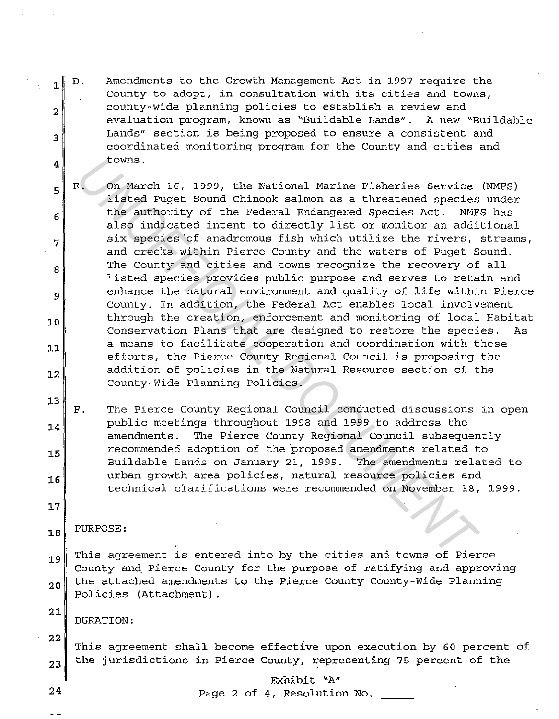- 1 2 3 4 D. Amendments to the Growth Management Act in 1997 require the County to adopt, in consultation with its cities and towns, county-wide planning policies to establish a review and evaluation program, known as "Buildable Lands". A new "Buildable Lands" section is being proposed to ensure a consistent and coordinated monitoring program for the County and cities and towns.
	- E. On March 16, 1999, the National Marine Fisheries Service (NMFS) listed Puget Sound Chinook salmon as a threatened species under the authority of the Federal Endangered Species Act. NMFS has also indicated intent to directly list or monitor an additional six species'of anadromous fish which utilize the rivers, streams, and creeks within Pierce County and the waters of Puget Sound. The County and cities and towns recognize the recovery of all listed species provides public purpose and serves to retain and enhance the natural environment and quality of life within Pierce County. In addition, the Federal Act enables local involvement through the creation, enforcement and monitoring of local Habitat Conservation Plans that are designed to restore the species. As a means to facilitate cooperation and coordination with these efforts, the Pierce County Regional Council is proposing the addition of policies in the Natural Resource section of the County-Wide Planning Policies. command and the propositional Marine Pisheries Service<br>
	16. On March Puget Sound Chinook salmon as a threatened species<br>
	16 the authority of the Pederal Endangered Species Act. NMY<br>
	also indicated intent to directly list o
	- F. The Pierce County Regional Council conducted discussions in open public meetings throughout 1998 and 1999 to address the amendments. The Pierce County Regional Council subsequently recommended adoption of the proposed amendments related to Buildable Lands on January 21, 1999. The amendments related to urban growth area policies, natural resource policies and technical clarifications were recommended on November 18, 1999.
- 18 PURPOSE:
- 19 20 This agreement is entered into by the cities and towns of Pierce County and Pierce County for the purpose of ratifying and approving the attached amendments to the Pierce County County-Wide Planning Policies (Attachment) .

DURATION:

22

21

5

6

7

8

9

10

11

12

13

14

15

16

17

This agreement shall become effective upon execution by 60 percent of the jurisdictions in Pierce County, representing 75 percent of the

> Exhibit "A" Page 2 of 4, Resolution No.

24

23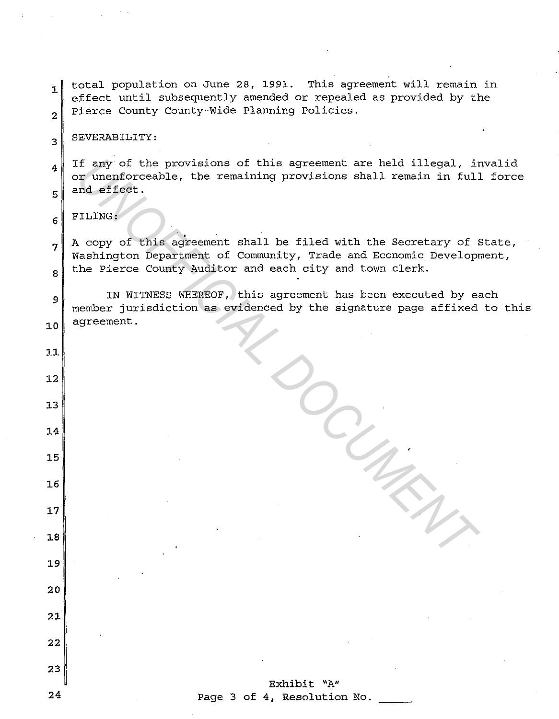1 2 total population on June 28, 1991. This agreement will remain in effect until subsequently amended or repealed as provided by the Pierce County County-Wide Planning Policies.

SEVERABILITY:

4 5 If any of the provisions of this agreement are held illegal, invalid or unenforceable, the remaining provisions shall remain in full force and effect. If any of the provisions of this agreement are held illegal, in<br> *UNOFFICIAL* (the remaining provisions shall remain in full<br>
und effect.<br>
TILING:<br>
UNITING:<br>
UNITING:<br>
UNITING:<br>
UNITING:<br>
UNITING:<br>
UNITING:<br>
UNITING:<br>
UNIT

6 FILING:

> • A copy of this agreement shall be filed with the Secretary of State, Washington Department of Community, Trade and Economic Development, the Pierce County Auditor and each city and town clerk.

9 10 IN WITNESS WHEREOF, this agreement has been executed by each member jurisdiction as evidenced by the signature page affixed to this agreement.

11

12

13

14

15

16

17

18

19

20

21

22

23

7

8

3

Exhibit "A" Page 3 of 4, Resolution No.

24